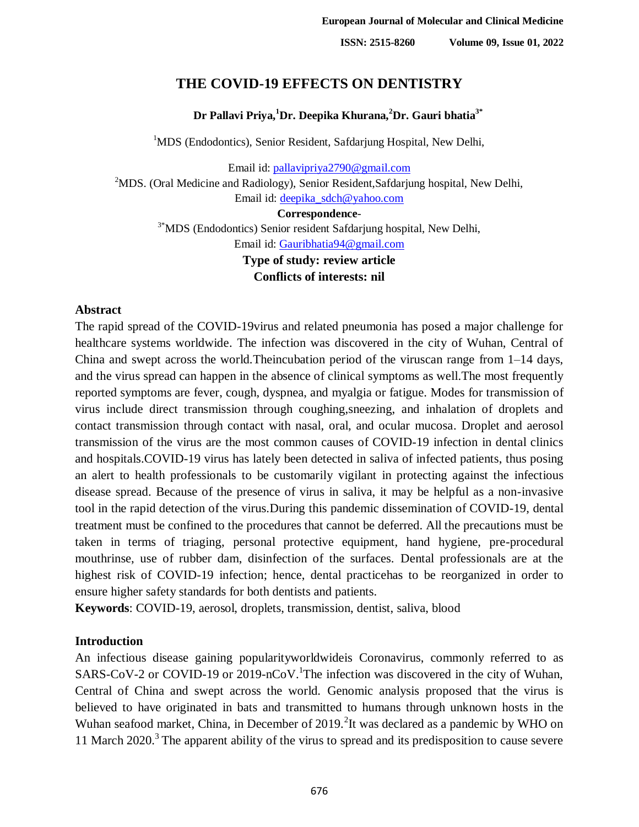# **THE COVID-19 EFFECTS ON DENTISTRY**

#### **Dr Pallavi Priya,<sup>1</sup>Dr. Deepika Khurana,<sup>2</sup>Dr. Gauri bhatia3\***

<sup>1</sup>MDS (Endodontics), Senior Resident, Safdarjung Hospital, New Delhi,

Email id: [pallavipriya2790@gmail.com](mailto:pallavipriya2790@gmail.com) <sup>2</sup>MDS. (Oral Medicine and Radiology), Senior Resident, Safdarjung hospital, New Delhi, Email id: [deepika\\_sdch@yahoo.com](mailto:deepika_sdch@yahoo.com)

**Correspondence**-

<sup>3\*</sup>MDS (Endodontics) Senior resident Safdarjung hospital, New Delhi, Email id: [Gauribhatia94@gmail.com](mailto:Gauribhatia94@gmail.com)

> **Type of study: review article Conflicts of interests: nil**

#### **Abstract**

The rapid spread of the COVID-19virus and related pneumonia has posed a major challenge for healthcare systems worldwide. The infection was discovered in the city of Wuhan, Central of China and swept across the world.Theincubation period of the viruscan range from 1–14 days, and the virus spread can happen in the absence of clinical symptoms as well.The most frequently reported symptoms are fever, cough, dyspnea, and myalgia or fatigue. Modes for transmission of virus include direct transmission through coughing,sneezing, and inhalation of droplets and contact transmission through contact with nasal, oral, and ocular mucosa. Droplet and aerosol transmission of the virus are the most common causes of COVID-19 infection in dental clinics and hospitals.COVID-19 virus has lately been detected in saliva of infected patients, thus posing an alert to health professionals to be customarily vigilant in protecting against the infectious disease spread. Because of the presence of virus in saliva, it may be helpful as a non-invasive tool in the rapid detection of the virus.During this pandemic dissemination of COVID-19, dental treatment must be confined to the procedures that cannot be deferred. All the precautions must be taken in terms of triaging, personal protective equipment, hand hygiene, pre-procedural mouthrinse, use of rubber dam, disinfection of the surfaces. Dental professionals are at the highest risk of COVID-19 infection; hence, dental practicehas to be reorganized in order to ensure higher safety standards for both dentists and patients.

**Keywords**: COVID-19, aerosol, droplets, transmission, dentist, saliva, blood

#### **Introduction**

An infectious disease gaining popularityworldwideis Coronavirus, commonly referred to as SARS-CoV-2 or COVID-19 or 2019-nCoV. The infection was discovered in the city of Wuhan, Central of China and swept across the world. Genomic analysis proposed that the virus is believed to have originated in bats and transmitted to humans through unknown hosts in the Wuhan seafood market, China, in December of  $2019$ . It was declared as a pandemic by WHO on 11 March  $2020$ .<sup>3</sup> The apparent ability of the virus to spread and its predisposition to cause severe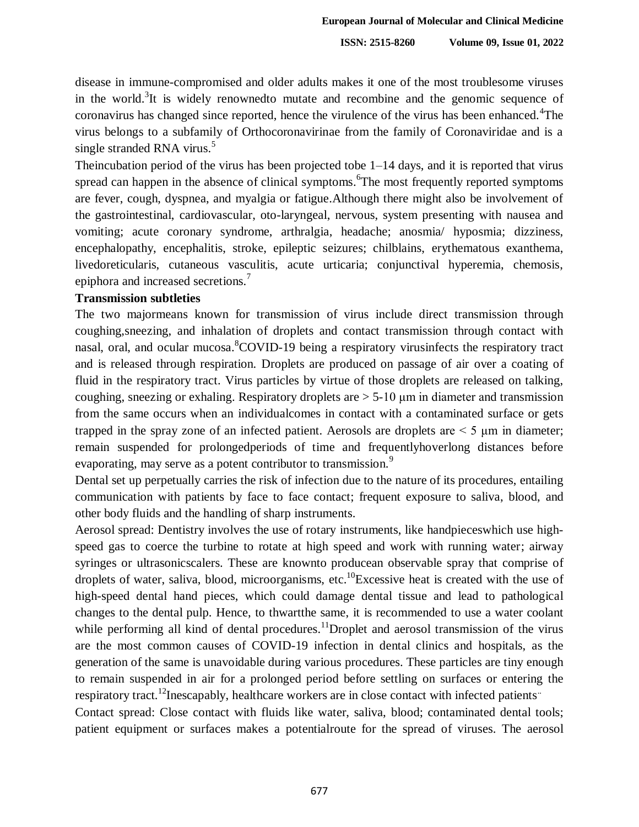disease in immune-compromised and older adults makes it one of the most troublesome viruses in the world.<sup>3</sup>It is widely renownedto mutate and recombine and the genomic sequence of coronavirus has changed since reported, hence the virulence of the virus has been enhanced.<sup>4</sup>The virus belongs to a subfamily of Orthocoronavirinae from the family of Coronaviridae and is a single stranded RNA virus. $5$ 

Theincubation period of the virus has been projected tobe 1–14 days, and it is reported that virus spread can happen in the absence of clinical symptoms. <sup>6</sup>The most frequently reported symptoms are fever, cough, dyspnea, and myalgia or fatigue.Although there might also be involvement of the gastrointestinal, cardiovascular, oto-laryngeal, nervous, system presenting with nausea and vomiting; acute coronary syndrome, arthralgia, headache; anosmia/ hyposmia; dizziness, encephalopathy, encephalitis, stroke, epileptic seizures; chilblains, erythematous exanthema, livedoreticularis, cutaneous vasculitis, acute urticaria; conjunctival hyperemia, chemosis, epiphora and increased secretions.<sup>7</sup>

#### **Transmission subtleties**

The two majormeans known for transmission of virus include direct transmission through coughing,sneezing, and inhalation of droplets and contact transmission through contact with nasal, oral, and ocular mucosa. <sup>8</sup>COVID-19 being a respiratory virusinfects the respiratory tract and is released through respiration. Droplets are produced on passage of air over a coating of fluid in the respiratory tract. Virus particles by virtue of those droplets are released on talking, coughing, sneezing or exhaling. Respiratory droplets are > 5-10 μm in diameter and transmission from the same occurs when an individualcomes in contact with a contaminated surface or gets trapped in the spray zone of an infected patient. Aerosols are droplets are  $\leq$  5  $\mu$ m in diameter; remain suspended for prolongedperiods of time and frequentlyhoverlong distances before evaporating, may serve as a potent contributor to transmission.<sup>9</sup>

Dental set up perpetually carries the risk of infection due to the nature of its procedures, entailing communication with patients by face to face contact; frequent exposure to saliva, blood, and other body fluids and the handling of sharp instruments.

Aerosol spread: Dentistry involves the use of rotary instruments, like handpieceswhich use highspeed gas to coerce the turbine to rotate at high speed and work with running water; airway syringes or ultrasonicscalers. These are knownto producean observable spray that comprise of droplets of water, saliva, blood, microorganisms, etc.<sup>10</sup>Excessive heat is created with the use of high-speed dental hand pieces, which could damage dental tissue and lead to pathological changes to the dental pulp. Hence, to thwartthe same, it is recommended to use a water coolant while performing all kind of dental procedures.<sup>11</sup>Droplet and aerosol transmission of the virus are the most common causes of COVID-19 infection in dental clinics and hospitals, as the generation of the same is unavoidable during various procedures. These particles are tiny enough to remain suspended in air for a prolonged period before settling on surfaces or entering the respiratory tract.<sup>12</sup>Inescapably, healthcare workers are in close contact with infected patients.

Contact spread: Close contact with fluids like water, saliva, blood; contaminated dental tools; patient equipment or surfaces makes a potentialroute for the spread of viruses. The aerosol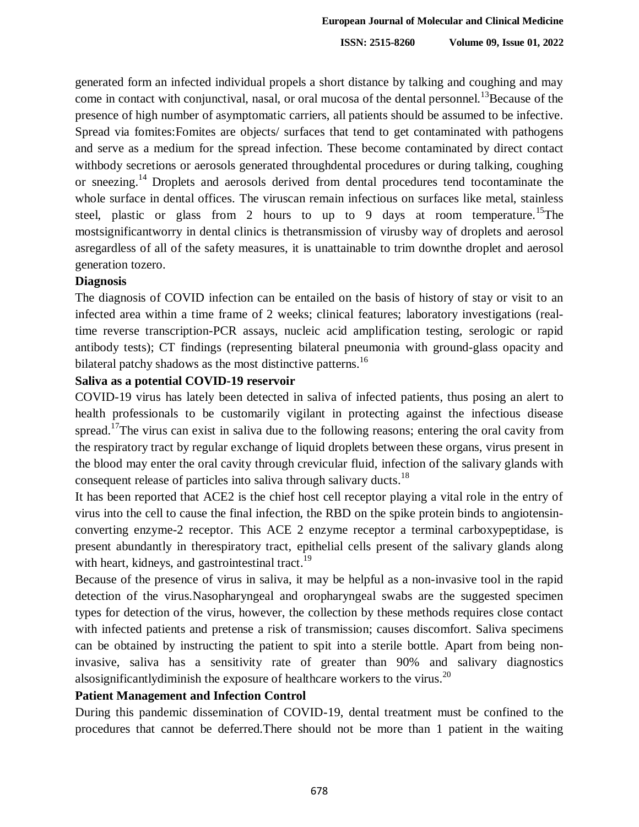generated form an infected individual propels a short distance by talking and coughing and may come in contact with conjunctival, nasal, or oral mucosa of the dental personnel.<sup>13</sup>Because of the presence of high number of asymptomatic carriers, all patients should be assumed to be infective. Spread via fomites:Fomites are objects/ surfaces that tend to get contaminated with pathogens and serve as a medium for the spread infection. These become contaminated by direct contact withbody secretions or aerosols generated throughdental procedures or during talking, coughing or sneezing.<sup>14</sup> Droplets and aerosols derived from dental procedures tend tocontaminate the whole surface in dental offices. The viruscan remain infectious on surfaces like metal, stainless steel, plastic or glass from 2 hours to up to 9 days at room temperature.<sup>15</sup>The mostsignificantworry in dental clinics is thetransmission of virusby way of droplets and aerosol asregardless of all of the safety measures, it is unattainable to trim downthe droplet and aerosol generation tozero.

#### **Diagnosis**

The diagnosis of COVID infection can be entailed on the basis of history of stay or visit to an infected area within a time frame of 2 weeks; clinical features; laboratory investigations (realtime reverse transcription-PCR assays, nucleic acid amplification testing, serologic or rapid antibody tests); CT findings (representing bilateral pneumonia with ground-glass opacity and bilateral patchy shadows as the most distinctive patterns.<sup>16</sup>

#### **Saliva as a potential COVID-19 reservoir**

COVID-19 virus has lately been detected in saliva of infected patients, thus posing an alert to health professionals to be customarily vigilant in protecting against the infectious disease spread.<sup>17</sup>The virus can exist in saliva due to the following reasons; entering the oral cavity from the respiratory tract by regular exchange of liquid droplets between these organs, virus present in the blood may enter the oral cavity through crevicular fluid, infection of the salivary glands with consequent release of particles into saliva through salivary ducts.<sup>18</sup>

It has been reported that ACE2 is the chief host cell receptor playing a vital role in the entry of virus into the cell to cause the final infection, the RBD on the spike protein binds to angiotensinconverting enzyme-2 receptor. This ACE 2 enzyme receptor a terminal carboxypeptidase, is present abundantly in therespiratory tract, epithelial cells present of the salivary glands along with heart, kidneys, and gastrointestinal tract.<sup>19</sup>

Because of the presence of virus in saliva, it may be helpful as a non-invasive tool in the rapid detection of the virus.Nasopharyngeal and oropharyngeal swabs are the suggested specimen types for detection of the virus, however, the collection by these methods requires close contact with infected patients and pretense a risk of transmission; causes discomfort. Saliva specimens can be obtained by instructing the patient to spit into a sterile bottle. Apart from being noninvasive, saliva has a sensitivity rate of greater than 90% and salivary diagnostics alsosignificantlydiminish the exposure of healthcare workers to the virus.<sup>20</sup>

#### **Patient Management and Infection Control**

During this pandemic dissemination of COVID-19, dental treatment must be confined to the procedures that cannot be deferred.There should not be more than 1 patient in the waiting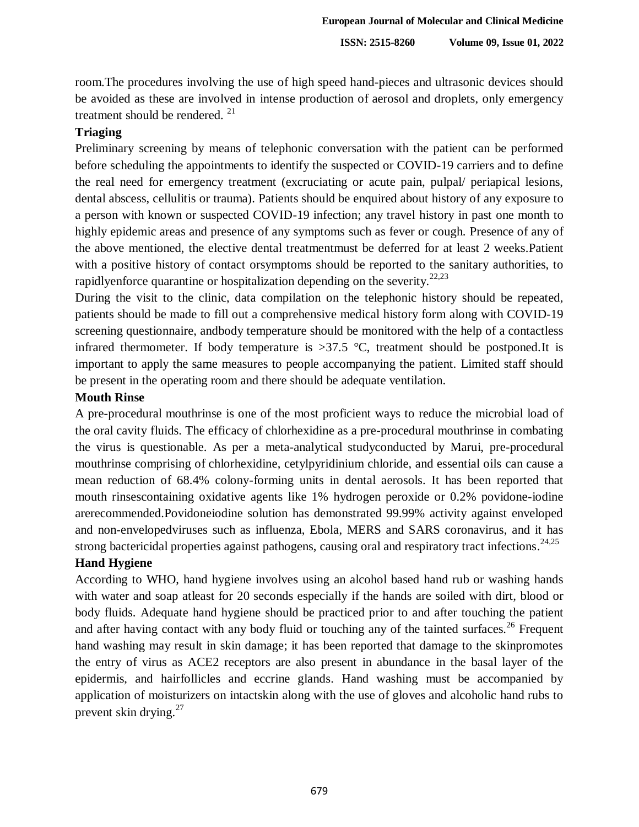room.The procedures involving the use of high speed hand-pieces and ultrasonic devices should be avoided as these are involved in intense production of aerosol and droplets, only emergency treatment should be rendered.<sup>21</sup>

#### **Triaging**

Preliminary screening by means of telephonic conversation with the patient can be performed before scheduling the appointments to identify the suspected or COVID-19 carriers and to define the real need for emergency treatment (excruciating or acute pain, pulpal/ periapical lesions, dental abscess, cellulitis or trauma). Patients should be enquired about history of any exposure to a person with known or suspected COVID-19 infection; any travel history in past one month to highly epidemic areas and presence of any symptoms such as fever or cough. Presence of any of the above mentioned, the elective dental treatmentmust be deferred for at least 2 weeks.Patient with a positive history of contact orsymptoms should be reported to the sanitary authorities, to rapidlyenforce quarantine or hospitalization depending on the severity.<sup>22,23</sup>

During the visit to the clinic, data compilation on the telephonic history should be repeated, patients should be made to fill out a comprehensive medical history form along with COVID-19 screening questionnaire, andbody temperature should be monitored with the help of a contactless infrared thermometer. If body temperature is  $>37.5$  °C, treatment should be postponed. It is important to apply the same measures to people accompanying the patient. Limited staff should be present in the operating room and there should be adequate ventilation.

#### **Mouth Rinse**

A pre-procedural mouthrinse is one of the most proficient ways to reduce the microbial load of the oral cavity fluids. The efficacy of chlorhexidine as a pre-procedural mouthrinse in combating the virus is questionable. As per a meta-analytical studyconducted by Marui, pre-procedural mouthrinse comprising of chlorhexidine, cetylpyridinium chloride, and essential oils can cause a mean reduction of 68.4% colony-forming units in dental aerosols. It has been reported that mouth rinsescontaining oxidative agents like 1% hydrogen peroxide or 0.2% povidone-iodine arerecommended.Povidoneiodine solution has demonstrated 99.99% activity against enveloped and non-envelopedviruses such as influenza, Ebola, MERS and SARS coronavirus, and it has strong bactericidal properties against pathogens, causing oral and respiratory tract infections.<sup>24,25</sup>

## **Hand Hygiene**

According to WHO, hand hygiene involves using an alcohol based hand rub or washing hands with water and soap atleast for 20 seconds especially if the hands are soiled with dirt, blood or body fluids. Adequate hand hygiene should be practiced prior to and after touching the patient and after having contact with any body fluid or touching any of the tainted surfaces.<sup>26</sup> Frequent hand washing may result in skin damage; it has been reported that damage to the skinpromotes the entry of virus as ACE2 receptors are also present in abundance in the basal layer of the epidermis, and hairfollicles and eccrine glands. Hand washing must be accompanied by application of moisturizers on intactskin along with the use of gloves and alcoholic hand rubs to prevent skin drying. $27$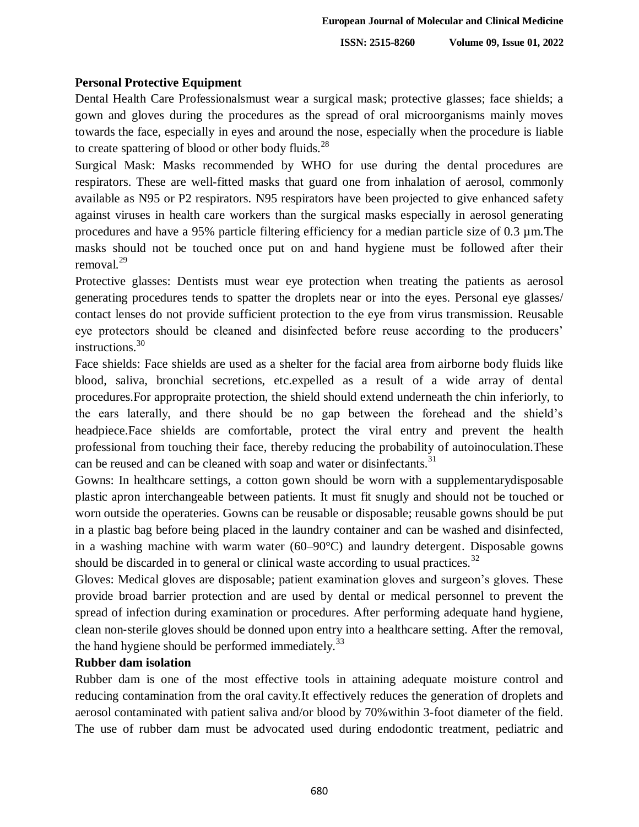### **Personal Protective Equipment**

Dental Health Care Professionalsmust wear a surgical mask; protective glasses; face shields; a gown and gloves during the procedures as the spread of oral microorganisms mainly moves towards the face, especially in eyes and around the nose, especially when the procedure is liable to create spattering of blood or other body fluids.<sup>28</sup>

Surgical Mask: Masks recommended by WHO for use during the dental procedures are respirators. These are well-fitted masks that guard one from inhalation of aerosol, commonly available as N95 or P2 respirators. N95 respirators have been projected to give enhanced safety against viruses in health care workers than the surgical masks especially in aerosol generating procedures and have a 95% particle filtering efficiency for a median particle size of 0.3 µm.The masks should not be touched once put on and hand hygiene must be followed after their removal.<sup>29</sup>

Protective glasses: Dentists must wear eye protection when treating the patients as aerosol generating procedures tends to spatter the droplets near or into the eyes. Personal eye glasses/ contact lenses do not provide sufficient protection to the eye from virus transmission. Reusable eye protectors should be cleaned and disinfected before reuse according to the producers' instructions. 30

Face shields: Face shields are used as a shelter for the facial area from airborne body fluids like blood, saliva, bronchial secretions, etc.expelled as a result of a wide array of dental procedures.For appropraite protection, the shield should extend underneath the chin inferiorly, to the ears laterally, and there should be no gap between the forehead and the shield's headpiece.Face shields are comfortable, protect the viral entry and prevent the health professional from touching their face, thereby reducing the probability of autoinoculation.These can be reused and can be cleaned with soap and water or disinfectants.<sup>31</sup>

Gowns: In healthcare settings, a cotton gown should be worn with a supplementarydisposable plastic apron interchangeable between patients. It must fit snugly and should not be touched or worn outside the operateries. Gowns can be reusable or disposable; reusable gowns should be put in a plastic bag before being placed in the laundry container and can be washed and disinfected, in a washing machine with warm water (60–90°C) and laundry detergent. Disposable gowns should be discarded in to general or clinical waste according to usual practices.<sup>32</sup>

Gloves: Medical gloves are disposable; patient examination gloves and surgeon's gloves. These provide broad barrier protection and are used by dental or medical personnel to prevent the spread of infection during examination or procedures. After performing adequate hand hygiene, clean non‐sterile gloves should be donned upon entry into a healthcare setting. After the removal, the hand hygiene should be performed immediately.<sup>33</sup>

### **Rubber dam isolation**

Rubber dam is one of the most effective tools in attaining adequate moisture control and reducing contamination from the oral cavity.It effectively reduces the generation of droplets and aerosol contaminated with patient saliva and/or blood by 70% within 3-foot diameter of the field. The use of rubber dam must be advocated used during endodontic treatment, pediatric and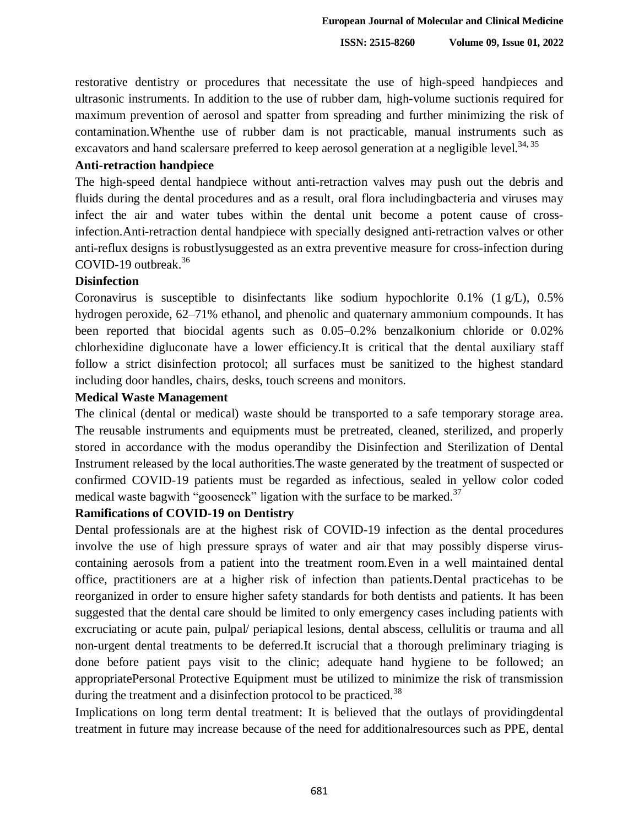restorative dentistry or procedures that necessitate the use of high-speed handpieces and ultrasonic instruments. In addition to the use of rubber dam, high-volume suctionis required for maximum prevention of aerosol and spatter from spreading and further minimizing the risk of contamination.Whenthe use of rubber dam is not practicable, manual instruments such as excavators and hand scalersare preferred to keep aerosol generation at a negligible level.<sup>34, 35</sup>

#### **Anti-retraction handpiece**

The high-speed dental handpiece without anti-retraction valves may push out the debris and fluids during the dental procedures and as a result, oral flora includingbacteria and viruses may infect the air and water tubes within the dental unit become a potent cause of crossinfection.Anti-retraction dental handpiece with specially designed anti-retraction valves or other anti-reflux designs is robustlysuggested as an extra preventive measure for cross-infection during COVID-19 outbreak. 36

#### **Disinfection**

Coronavirus is susceptible to disinfectants like sodium hypochlorite 0.1% (1 g/L), 0.5% hydrogen peroxide, 62–71% ethanol, and phenolic and quaternary ammonium compounds. It has been reported that biocidal agents such as 0.05–0.2% benzalkonium chloride or 0.02% chlorhexidine digluconate have a lower efficiency.It is critical that the dental auxiliary staff follow a strict disinfection protocol; all surfaces must be sanitized to the highest standard including door handles, chairs, desks, touch screens and monitors.

#### **Medical Waste Management**

The clinical (dental or medical) waste should be transported to a safe temporary storage area. The reusable instruments and equipments must be pretreated, cleaned, sterilized, and properly stored in accordance with the modus operandiby the Disinfection and Sterilization of Dental Instrument released by the local authorities.The waste generated by the treatment of suspected or confirmed COVID-19 patients must be regarded as infectious, sealed in yellow color coded medical waste bagwith "gooseneck" ligation with the surface to be marked.<sup>37</sup>

#### **Ramifications of COVID-19 on Dentistry**

Dental professionals are at the highest risk of COVID-19 infection as the dental procedures involve the use of high pressure sprays of water and air that may possibly disperse viruscontaining aerosols from a patient into the treatment room.Even in a well maintained dental office, practitioners are at a higher risk of infection than patients.Dental practicehas to be reorganized in order to ensure higher safety standards for both dentists and patients. It has been suggested that the dental care should be limited to only emergency cases including patients with excruciating or acute pain, pulpal/ periapical lesions, dental abscess, cellulitis or trauma and all non-urgent dental treatments to be deferred.It iscrucial that a thorough preliminary triaging is done before patient pays visit to the clinic; adequate hand hygiene to be followed; an appropriatePersonal Protective Equipment must be utilized to minimize the risk of transmission during the treatment and a disinfection protocol to be practiced.<sup>38</sup>

Implications on long term dental treatment: It is believed that the outlays of providingdental treatment in future may increase because of the need for additionalresources such as PPE, dental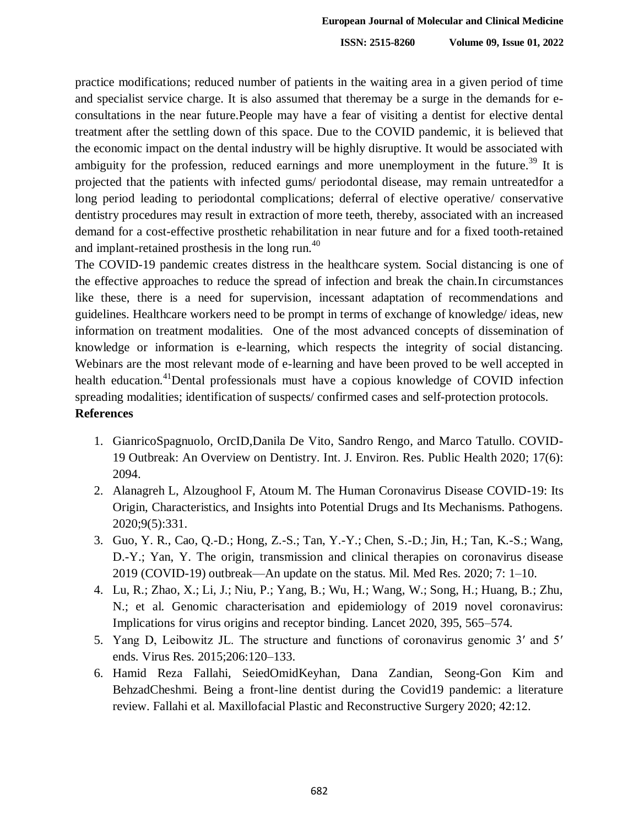practice modifications; reduced number of patients in the waiting area in a given period of time and specialist service charge. It is also assumed that theremay be a surge in the demands for econsultations in the near future.People may have a fear of visiting a dentist for elective dental treatment after the settling down of this space. Due to the COVID pandemic, it is believed that the economic impact on the dental industry will be highly disruptive. It would be associated with ambiguity for the profession, reduced earnings and more unemployment in the future.<sup>39</sup> It is projected that the patients with infected gums/ periodontal disease, may remain untreatedfor a long period leading to periodontal complications; deferral of elective operative/ conservative dentistry procedures may result in extraction of more teeth, thereby, associated with an increased demand for a cost-effective prosthetic rehabilitation in near future and for a fixed tooth-retained and implant-retained prosthesis in the long run.<sup>40</sup>

The COVID-19 pandemic creates distress in the healthcare system. Social distancing is one of the effective approaches to reduce the spread of infection and break the chain.In circumstances like these, there is a need for supervision, incessant adaptation of recommendations and guidelines. Healthcare workers need to be prompt in terms of exchange of knowledge/ ideas, new information on treatment modalities. One of the most advanced concepts of dissemination of knowledge or information is e-learning, which respects the integrity of social distancing. Webinars are the most relevant mode of e-learning and have been proved to be well accepted in health education.<sup>41</sup>Dental professionals must have a copious knowledge of COVID infection spreading modalities; identification of suspects/ confirmed cases and self-protection protocols.

## **References**

- 1. GianricoSpagnuolo, OrcID,Danila De Vito, Sandro Rengo, and Marco Tatullo. COVID-19 Outbreak: An Overview on Dentistry. Int. J. Environ. Res. Public Health 2020; 17(6): 2094.
- 2. Alanagreh L, Alzoughool F, Atoum M. The Human Coronavirus Disease COVID-19: Its Origin, Characteristics, and Insights into Potential Drugs and Its Mechanisms. Pathogens. 2020;9(5):331.
- 3. Guo, Y. R., Cao, Q.-D.; Hong, Z.-S.; Tan, Y.-Y.; Chen, S.-D.; Jin, H.; Tan, K.-S.; Wang, D.-Y.; Yan, Y. The origin, transmission and clinical therapies on coronavirus disease 2019 (COVID-19) outbreak—An update on the status. Mil. Med Res. 2020; 7: 1–10.
- 4. Lu, R.; Zhao, X.; Li, J.; Niu, P.; Yang, B.; Wu, H.; Wang, W.; Song, H.; Huang, B.; Zhu, N.; et al. Genomic characterisation and epidemiology of 2019 novel coronavirus: Implications for virus origins and receptor binding. Lancet 2020, 395, 565–574.
- 5. Yang D, Leibowitz JL. The structure and functions of coronavirus genomic 3′ and 5′ ends. Virus Res. 2015;206:120–133.
- 6. Hamid Reza Fallahi, SeiedOmidKeyhan, Dana Zandian, Seong-Gon Kim and BehzadCheshmi. Being a front-line dentist during the Covid19 pandemic: a literature review. Fallahi et al. Maxillofacial Plastic and Reconstructive Surgery 2020; 42:12.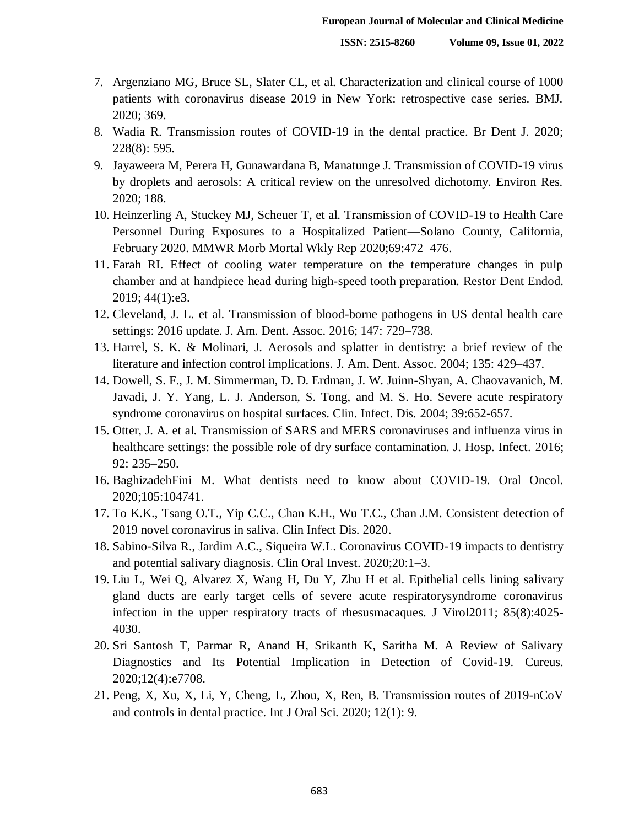- 7. Argenziano MG, Bruce SL, Slater CL, et al. Characterization and clinical course of 1000 patients with coronavirus disease 2019 in New York: retrospective case series. BMJ. 2020; 369.
- 8. Wadia R. Transmission routes of COVID-19 in the dental practice. Br Dent J. 2020; 228(8): 595.
- 9. Jayaweera M, Perera H, Gunawardana B, Manatunge J. Transmission of COVID-19 virus by droplets and aerosols: A critical review on the unresolved dichotomy. Environ Res. 2020; 188.
- 10. Heinzerling A, Stuckey MJ, Scheuer T, et al. Transmission of COVID-19 to Health Care Personnel During Exposures to a Hospitalized Patient—Solano County, California, February 2020. MMWR Morb Mortal Wkly Rep 2020;69:472–476.
- 11. Farah RI. Effect of cooling water temperature on the temperature changes in pulp chamber and at handpiece head during high-speed tooth preparation. Restor Dent Endod. 2019; 44(1):e3.
- 12. Cleveland, J. L. et al. Transmission of blood-borne pathogens in US dental health care settings: 2016 update. J. Am. Dent. Assoc. 2016; 147: 729–738.
- 13. Harrel, S. K. & Molinari, J. Aerosols and splatter in dentistry: a brief review of the literature and infection control implications. J. Am. Dent. Assoc. 2004; 135: 429–437.
- 14. Dowell, S. F., J. M. Simmerman, D. D. Erdman, J. W. Juinn-Shyan, A. Chaovavanich, M. Javadi, J. Y. Yang, L. J. Anderson, S. Tong, and M. S. Ho. Severe acute respiratory syndrome coronavirus on hospital surfaces. Clin. Infect. Dis. 2004; 39:652-657.
- 15. Otter, J. A. et al. Transmission of SARS and MERS coronaviruses and influenza virus in healthcare settings: the possible role of dry surface contamination. J. Hosp. Infect. 2016; 92: 235–250.
- 16. BaghizadehFini M. What dentists need to know about COVID-19. Oral Oncol. 2020;105:104741.
- 17. To K.K., Tsang O.T., Yip C.C., Chan K.H., Wu T.C., Chan J.M. Consistent detection of 2019 novel coronavirus in saliva. Clin Infect Dis. 2020.
- 18. Sabino-Silva R., Jardim A.C., Siqueira W.L. Coronavirus COVID-19 impacts to dentistry and potential salivary diagnosis. Clin Oral Invest. 2020;20:1–3.
- 19. Liu L, Wei Q, Alvarez X, Wang H, Du Y, Zhu H et al. Epithelial cells lining salivary gland ducts are early target cells of severe acute respiratorysyndrome coronavirus infection in the upper respiratory tracts of rhesusmacaques. J Virol2011; 85(8):4025- 4030.
- 20. Sri Santosh T, Parmar R, Anand H, Srikanth K, Saritha M. A Review of Salivary Diagnostics and Its Potential Implication in Detection of Covid-19. Cureus. 2020;12(4):e7708.
- 21. Peng, X, Xu, X, Li, Y, Cheng, L, Zhou, X, Ren, B. Transmission routes of 2019-nCoV and controls in dental practice. Int J Oral Sci. 2020; 12(1): 9.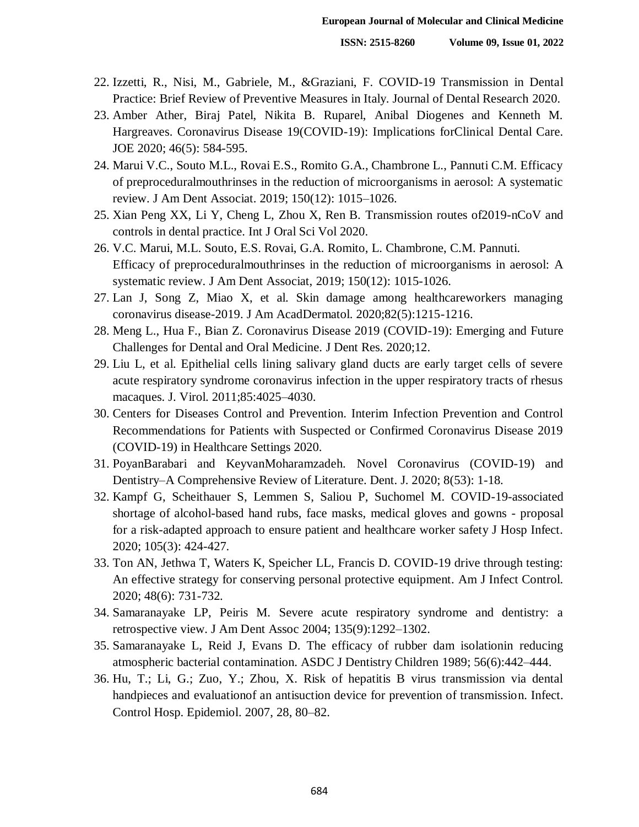- 22. Izzetti, R., Nisi, M., Gabriele, M., &Graziani, F. COVID-19 Transmission in Dental Practice: Brief Review of Preventive Measures in Italy. Journal of Dental Research 2020.
- 23. Amber Ather, Biraj Patel, Nikita B. Ruparel, Anibal Diogenes and Kenneth M. Hargreaves. Coronavirus Disease 19(COVID-19): Implications forClinical Dental Care. JOE 2020; 46(5): 584-595.
- 24. Marui V.C., Souto M.L., Rovai E.S., Romito G.A., Chambrone L., Pannuti C.M. Efficacy of preproceduralmouthrinses in the reduction of microorganisms in aerosol: A systematic review. J Am Dent Associat. 2019; 150(12): 1015–1026.
- 25. Xian Peng XX, Li Y, Cheng L, Zhou X, Ren B. Transmission routes of2019-nCoV and controls in dental practice. Int J Oral Sci Vol 2020.
- 26. V.C. Marui, M.L. Souto, E.S. Rovai, G.A. Romito, L. Chambrone, C.M. Pannuti. Efficacy of preproceduralmouthrinses in the reduction of microorganisms in aerosol: A systematic review. J Am Dent Associat, 2019; 150(12): 1015-1026.
- 27. Lan J, Song Z, Miao X, et al. Skin damage among healthcareworkers managing coronavirus disease-2019. J Am AcadDermatol. 2020;82(5):1215-1216.
- 28. Meng L., Hua F., Bian Z. Coronavirus Disease 2019 (COVID-19): Emerging and Future Challenges for Dental and Oral Medicine. J Dent Res. 2020;12.
- 29. Liu L, et al. Epithelial cells lining salivary gland ducts are early target cells of severe acute respiratory syndrome coronavirus infection in the upper respiratory tracts of rhesus macaques. J. Virol. 2011;85:4025–4030.
- 30. Centers for Diseases Control and Prevention. Interim Infection Prevention and Control Recommendations for Patients with Suspected or Confirmed Coronavirus Disease 2019 (COVID-19) in Healthcare Settings 2020.
- 31. PoyanBarabari and KeyvanMoharamzadeh. Novel Coronavirus (COVID-19) and Dentistry–A Comprehensive Review of Literature. Dent. J. 2020; 8(53): 1-18.
- 32. Kampf G, Scheithauer S, Lemmen S, Saliou P, Suchomel M. COVID-19-associated shortage of alcohol-based hand rubs, face masks, medical gloves and gowns - proposal for a risk-adapted approach to ensure patient and healthcare worker safety J Hosp Infect. 2020; 105(3): 424-427.
- 33. Ton AN, Jethwa T, Waters K, Speicher LL, Francis D. COVID-19 drive through testing: An effective strategy for conserving personal protective equipment. Am J Infect Control. 2020; 48(6): 731-732.
- 34. Samaranayake LP, Peiris M. Severe acute respiratory syndrome and dentistry: a retrospective view. J Am Dent Assoc 2004; 135(9):1292–1302.
- 35. Samaranayake L, Reid J, Evans D. The efficacy of rubber dam isolationin reducing atmospheric bacterial contamination. ASDC J Dentistry Children 1989; 56(6):442–444.
- 36. Hu, T.; Li, G.; Zuo, Y.; Zhou, X. Risk of hepatitis B virus transmission via dental handpieces and evaluationof an antisuction device for prevention of transmission. Infect. Control Hosp. Epidemiol. 2007, 28, 80–82.